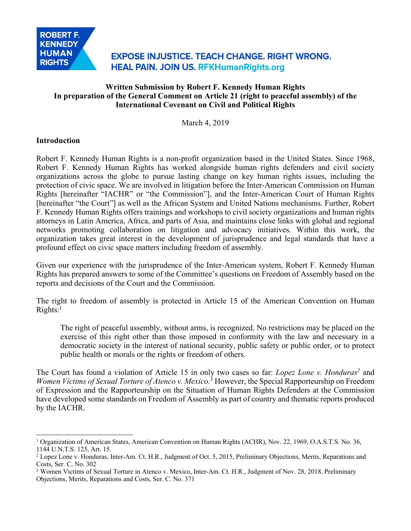

# **EXPOSE INJUSTICE. TEACH CHANGE. RIGHT WRONG. HEAL PAIN. JOIN US. RFKHumanRights.org**

# **Written Submission by Robert F. Kennedy Human Rights In preparation of the General Comment on Article 21 (right to peaceful assembly) of the International Covenant on Civil and Political Rights**

March 4, 2019

#### **Introduction**

 $\overline{a}$ 

Robert F. Kennedy Human Rights is a non-profit organization based in the United States. Since 1968, Robert F. Kennedy Human Rights has worked alongside human rights defenders and civil society organizations across the globe to pursue lasting change on key human rights issues, including the protection of civic space. We are involved in litigation before the Inter-American Commission on Human Rights [hereinafter "IACHR" or "the Commission"], and the Inter-American Court of Human Rights [hereinafter "the Court"] as well as the African System and United Nations mechanisms. Further, Robert F. Kennedy Human Rights offers trainings and workshops to civil society organizations and human rights attorneys in Latin America, Africa, and parts of Asia, and maintains close links with global and regional networks promoting collaboration on litigation and advocacy initiatives. Within this work, the organization takes great interest in the development of jurisprudence and legal standards that have a profound effect on civic space matters including freedom of assembly.

Given our experience with the jurisprudence of the Inter-American system, Robert F. Kennedy Human Rights has prepared answers to some of the Committee's questions on Freedom of Assembly based on the reports and decisions of the Court and the Commission.

The right to freedom of assembly is protected in Article 15 of the American Convention on Human  $Rights$ :<sup>1</sup>

The right of peaceful assembly, without arms, is recognized. No restrictions may be placed on the exercise of this right other than those imposed in conformity with the law and necessary in a democratic society in the interest of national security, public safety or public order, or to protect public health or morals or the rights or freedom of others.

The Court has found a violation of Article 15 in only two cases so far: *Lopez Lone v. Honduras2* and *Women Victims of Sexual Torture of Atenco v. Mexico.3* However, the Special Rapporteurship on Freedom of Expression and the Rapporteurship on the Situation of Human Rights Defenders at the Commission have developed some standards on Freedom of Assembly as part of country and thematic reports produced by the IACHR.

<sup>1</sup> Organization of American States, American Convention on Human Rights (ACHR), Nov. 22, 1969, O.A.S.T.S. No. 36, 1144 U.N.T.S. 123, Art. 15.

<sup>2</sup> Lopez Lone v. Honduras, Inter-Am. Ct. H.R., Judgment of Oct. 5, 2015, Preliminary Objections, Merits, Reparations and Costs, Ser. C, No. 302

<sup>&</sup>lt;sup>3</sup> Women Victims of Sexual Torture in Atenco v. Mexico, Inter-Am. Ct. H.R., Judgment of Nov. 28, 2018, Preliminary Objections, Merits, Reparations and Costs, Ser. C. No. 371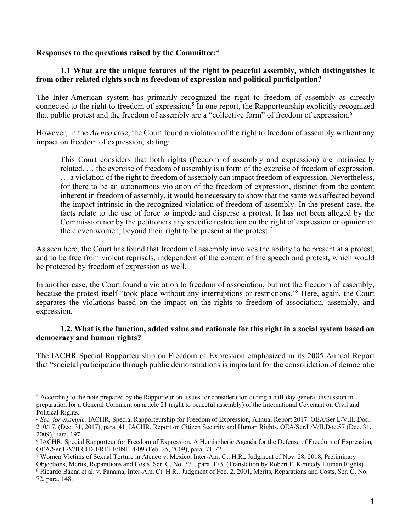#### **Responses to the questions raised by the Committee:4**

## **1.1 What are the unique features of the right to peaceful assembly, which distinguishes it from other related rights such as freedom of expression and political participation?**

The Inter-American system has primarily recognized the right to freedom of assembly as directly connected to the right to freedom of expression.<sup>5</sup> In one report, the Rapporteurship explicitly recognized that public protest and the freedom of assembly are a "collective form" of freedom of expression.6

However, in the *Atenco* case, the Court found a violation of the right to freedom of assembly without any impact on freedom of expression, stating:

This Court considers that both rights (freedom of assembly and expression) are intrinsically related. … the exercise of freedom of assembly is a form of the exercise of freedom of expression. … a violation of the right to freedom of assembly can impact freedom of expression. Nevertheless, for there to be an autonomous violation of the freedom of expression, distinct from the content inherent in freedom of assembly, it would be necessary to show that the same was affected beyond the impact intrinsic in the recognized violation of freedom of assembly. In the present case, the facts relate to the use of force to impede and disperse a protest. It has not been alleged by the Commission nor by the petitioners any specific restriction on the right of expression or opinion of the eleven women, beyond their right to be present at the protest.<sup>7</sup>

As seen here, the Court has found that freedom of assembly involves the ability to be present at a protest, and to be free from violent reprisals, independent of the content of the speech and protest, which would be protected by freedom of expression as well.

In another case, the Court found a violation to freedom of association, but not the freedom of assembly, because the protest itself "took place without any interruptions or restrictions."8 Here, again, the Court separates the violations based on the impact on the rights to freedom of association, assembly, and expression.

#### **1.2. What is the function, added value and rationale for this right in a social system based on democracy and human rights?**

The IACHR Special Rapporteurship on Freedom of Expression emphasized in its 2005 Annual Report that "societal participation through public demonstrations is important for the consolidation of democratic

<sup>4</sup> According to the note prepared by the Rapporteur on Issues for consideration during a half-day general discussion in preparation for a General Comment on article 21 (right to peaceful assembly) of the International Covenant on Civil and Political Rights.

<sup>5</sup> *See, for example,* IACHR, Special Rapporteurship for Freedom of Expression, Annual Report 2017. OEA/Ser.L/V.II. Doc. 210/17. (Dec. 31, 2017), para. 41; IACHR. Report on Citizen Security and Human Rights. OEA/Ser.L/V/II.Doc.57 (Dec. 31, 2009), para. 197.

<sup>6</sup> IACHR, Special Rapporteur for Freedom of Expression, A Hemispheric Agenda for the Defense of Freedom of Expression*,*  OEA/Ser.L/V/II CIDH/RELE/INF. 4/09 (Feb. 25, 2009), para. 71-72.<br>7 Women Victims of Sexual Torture in Atenco v. Mexico, Inter-Am. Ct. H.R., Judgment of Nov. 28, 2018, Preliminary

Objections, Merits, Reparations and Costs, Ser. C. No. 371, para. 173. (Translation by Robert F. Kennedy Human Rights)

<sup>8</sup> Ricardo Baena et al. v. Panama, Inter-Am. Ct. H.R., Judgment of Feb. 2, 2001, Merits, Reparations and Costs, Ser. C. No. 72, para. 148.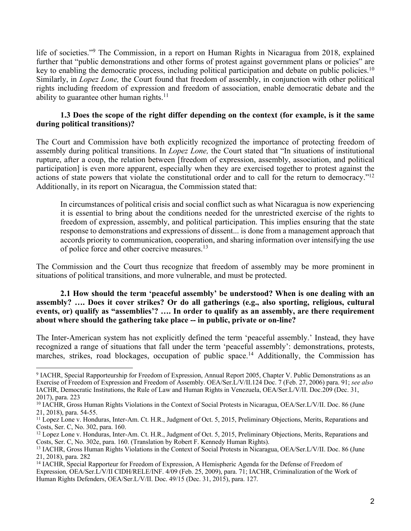life of societies."<sup>9</sup> The Commission, in a report on Human Rights in Nicaragua from 2018, explained further that "public demonstrations and other forms of protest against government plans or policies" are key to enabling the democratic process, including political participation and debate on public policies.<sup>10</sup> Similarly, in *Lopez Lone,* the Court found that freedom of assembly, in conjunction with other political rights including freedom of expression and freedom of association, enable democratic debate and the ability to guarantee other human rights.<sup>11</sup>

## **1.3 Does the scope of the right differ depending on the context (for example, is it the same during political transitions)?**

The Court and Commission have both explicitly recognized the importance of protecting freedom of assembly during political transitions. In *Lopez Lone,* the Court stated that "In situations of institutional rupture, after a coup, the relation between [freedom of expression, assembly, association, and political participation] is even more apparent, especially when they are exercised together to protest against the actions of state powers that violate the constitutional order and to call for the return to democracy."12 Additionally, in its report on Nicaragua, the Commission stated that:

In circumstances of political crisis and social conflict such as what Nicaragua is now experiencing it is essential to bring about the conditions needed for the unrestricted exercise of the rights to freedom of expression, assembly, and political participation. This implies ensuring that the state response to demonstrations and expressions of dissent... is done from a management approach that accords priority to communication, cooperation, and sharing information over intensifying the use of police force and other coercive measures.13

The Commission and the Court thus recognize that freedom of assembly may be more prominent in situations of political transitions, and more vulnerable, and must be protected.

#### **2.1 How should the term 'peaceful assembly' be understood? When is one dealing with an assembly? …. Does it cover strikes? Or do all gatherings (e.g., also sporting, religious, cultural events, or) qualify as "assemblies'? …. In order to qualify as an assembly, are there requirement about where should the gathering take place -- in public, private or on-line?**

The Inter-American system has not explicitly defined the term 'peaceful assembly.' Instead, they have recognized a range of situations that fall under the term 'peaceful assembly': demonstrations, protests, marches, strikes, road blockages, occupation of public space.<sup>14</sup> Additionally, the Commission has

<sup>9</sup> IACHR, Special Rapporteurship for Freedom of Expression, Annual Report 2005, Chapter V. Public Demonstrations as an Exercise of Freedom of Expression and Freedom of Assembly. OEA/Ser.L/V/II.124 Doc. 7 (Feb. 27, 2006) para. 91; *see also* IACHR, Democratic Institutions, the Rule of Law and Human Rights in Venezuela, OEA/Ser.L/V/II. Doc.209 (Dec. 31, 2017), para. 223

<sup>&</sup>lt;sup>10</sup> IACHR, Gross Human Rights Violations in the Context of Social Protests in Nicaragua, OEA/Ser.L/V/II. Doc. 86 (June 21, 2018), para. 54-55.<br><sup>11</sup> Lopez Lone v. Honduras, Inter-Am. Ct. H.R., Judgment of Oct. 5, 2015, Preliminary Objections, Merits, Reparations and

Costs, Ser. C, No. 302, para. 160.<br><sup>12</sup> Lopez Lone v. Honduras, Inter-Am. Ct. H.R., Judgment of Oct. 5, 2015, Preliminary Objections, Merits, Reparations and

Costs, Ser. C, No. 302e, para. 160. (Translation by Robert F. Kennedy Human Rights).

<sup>13</sup> IACHR, Gross Human Rights Violations in the Context of Social Protests in Nicaragua, OEA/Ser.L/V/II. Doc. 86 (June 21, 2018), para. 282

<sup>&</sup>lt;sup>14</sup> IACHR, Special Rapporteur for Freedom of Expression, A Hemispheric Agenda for the Defense of Freedom of Expression*,* OEA/Ser.L/V/II CIDH/RELE/INF. 4/09 (Feb. 25, 2009), para. 71; IACHR, Criminalization of the Work of Human Rights Defenders, OEA/Ser.L/V/II. Doc. 49/15 (Dec. 31, 2015), para. 127.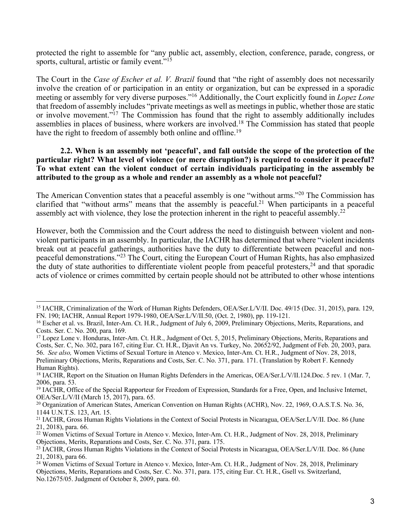protected the right to assemble for "any public act, assembly, election, conference, parade, congress, or sports, cultural, artistic or family event."<sup>15</sup>

The Court in the *Case of Escher et al. V. Brazil* found that "the right of assembly does not necessarily involve the creation of or participation in an entity or organization, but can be expressed in a sporadic meeting or assembly for very diverse purposes."16 Additionally, the Court explicitly found in *Lopez Lone*  that freedom of assembly includes "private meetings as well as meetings in public, whether those are static or involve movement."<sup>17</sup> The Commission has found that the right to assembly additionally includes assemblies in places of business, where workers are involved.<sup>18</sup> The Commission has stated that people have the right to freedom of assembly both online and offline.<sup>19</sup>

#### **2.2. When is an assembly not 'peaceful', and fall outside the scope of the protection of the particular right? What level of violence (or mere disruption?) is required to consider it peaceful? To what extent can the violent conduct of certain individuals participating in the assembly be attributed to the group as a whole and render an assembly as a whole not peaceful?**

The American Convention states that a peaceful assembly is one "without arms."20 The Commission has clarified that "without arms" means that the assembly is peaceful.<sup>21</sup> When participants in a peaceful assembly act with violence, they lose the protection inherent in the right to peaceful assembly.22

However, both the Commission and the Court address the need to distinguish between violent and nonviolent participants in an assembly. In particular, the IACHR has determined that where "violent incidents break out at peaceful gatherings, authorities have the duty to differentiate between peaceful and nonpeaceful demonstrations."23 The Court, citing the European Court of Human Rights, has also emphasized the duty of state authorities to differentiate violent people from peaceful protesters,  $24$  and that sporadic acts of violence or crimes committed by certain people should not be attributed to other whose intentions

<sup>15</sup> IACHR, Criminalization of the Work of Human Rights Defenders, OEA/Ser.L/V/II. Doc. 49/15 (Dec. 31, 2015), para. 129, FN. 190; IACHR, Annual Report 1979-1980, OEA/Ser.L/V/II.50, (Oct. 2, 1980), pp. 119-121.<br><sup>16</sup> Escher et al. vs. Brazil, Inter-Am. Ct. H.R., Judgment of July 6, 2009, Preliminary Objections, Merits, Reparations, and

Costs. Ser. C. No. 200, para. 169.<br><sup>17</sup> Lopez Lone v. Honduras, Inter-Am. Ct. H.R., Judgment of Oct. 5, 2015, Preliminary Objections, Merits, Reparations and

Costs, Ser. C, No. 302, para 167, citing Eur. Ct. H.R., Djavit An vs. Turkey, No. 20652/92, Judgment of Feb. 20, 2003, para. 56. *See also,* Women Victims of Sexual Torture in Atenco v. Mexico, Inter-Am. Ct. H.R., Judgment of Nov. 28, 2018, Preliminary Objections, Merits, Reparations and Costs, Ser. C. No. 371, para. 171. (Translation by Robert F. Kennedy Human Rights).

<sup>18</sup> IACHR, Report on the Situation on Human Rights Defenders in the Americas, OEA/Ser.L/V/II.124.Doc. 5 rev. 1 (Mar. 7, 2006, para. 53.

<sup>&</sup>lt;sup>19</sup> IACHR, Office of the Special Rapporteur for Freedom of Expression, Standards for a Free, Open, and Inclusive Internet, OEA/Ser.L/V/II (March 15, 2017), para. 65.

<sup>&</sup>lt;sup>20</sup> Organization of American States, American Convention on Human Rights (ACHR), Nov. 22, 1969, O.A.S.T.S. No. 36, 1144 U.N.T.S. 123, Art. 15.

<sup>21</sup> IACHR, Gross Human Rights Violations in the Context of Social Protests in Nicaragua, OEA/Ser.L/V/II. Doc. 86 (June 21, 2018), para. 66.

<sup>&</sup>lt;sup>22</sup> Women Victims of Sexual Torture in Atenco v. Mexico, Inter-Am. Ct. H.R., Judgment of Nov. 28, 2018, Preliminary Objections, Merits, Reparations and Costs, Ser. C. No. 371, para. 175.

<sup>23</sup> IACHR, Gross Human Rights Violations in the Context of Social Protests in Nicaragua, OEA/Ser.L/V/II. Doc. 86 (June 21, 2018), para 66.

<sup>&</sup>lt;sup>24</sup> Women Victims of Sexual Torture in Atenco v. Mexico, Inter-Am. Ct. H.R., Judgment of Nov. 28, 2018, Preliminary Objections, Merits, Reparations and Costs, Ser. C. No. 371, para. 175, citing Eur. Ct. H.R., Gsell vs. Switzerland, No.12675/05. Judgment of October 8, 2009, para. 60.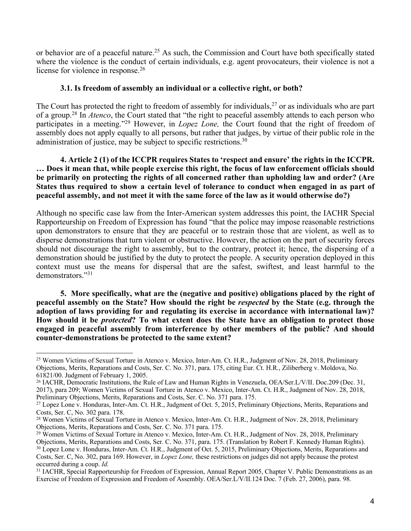or behavior are of a peaceful nature.<sup>25</sup> As such, the Commission and Court have both specifically stated where the violence is the conduct of certain individuals, e.g. agent provocateurs, their violence is not a license for violence in response.<sup>26</sup>

#### **3.1. Is freedom of assembly an individual or a collective right, or both?**

The Court has protected the right to freedom of assembly for individuals,  $27$  or as individuals who are part of a group.28 In *Atenco*, the Court stated that "the right to peaceful assembly attends to each person who participates in a meeting."29 However, in *Lopez Lone,* the Court found that the right of freedom of assembly does not apply equally to all persons, but rather that judges, by virtue of their public role in the administration of justice, may be subject to specific restrictions.<sup>30</sup>

**4. Article 2 (1) of the ICCPR requires States to 'respect and ensure' the rights in the ICCPR. … Does it mean that, while people exercise this right, the focus of law enforcement officials should be primarily on protecting the rights of all concerned rather than upholding law and order? (Are States thus required to show a certain level of tolerance to conduct when engaged in as part of peaceful assembly, and not meet it with the same force of the law as it would otherwise do?)** 

Although no specific case law from the Inter-American system addresses this point, the IACHR Special Rapporteurship on Freedom of Expression has found "that the police may impose reasonable restrictions upon demonstrators to ensure that they are peaceful or to restrain those that are violent, as well as to disperse demonstrations that turn violent or obstructive. However, the action on the part of security forces should not discourage the right to assembly, but to the contrary, protect it; hence, the dispersing of a demonstration should be justified by the duty to protect the people. A security operation deployed in this context must use the means for dispersal that are the safest, swiftest, and least harmful to the demonstrators."31

**5. More specifically, what are the (negative and positive) obligations placed by the right of peaceful assembly on the State? How should the right be** *respected* **by the State (e.g. through the adoption of laws providing for and regulating its exercise in accordance with international law)? How should it be** *protected***? To what extent does the State have an obligation to protect those engaged in peaceful assembly from interference by other members of the public? And should counter-demonstrations be protected to the same extent?** 

<sup>25</sup> Women Victims of Sexual Torture in Atenco v. Mexico, Inter-Am. Ct. H.R., Judgment of Nov. 28, 2018, Preliminary Objections, Merits, Reparations and Costs, Ser. C. No. 371, para. 175, citing Eur. Ct. H.R., Ziliberberg v. Moldova, No. 61821/00. Judgment of February 1, 2005.

<sup>26</sup> IACHR, Democratic Institutions, the Rule of Law and Human Rights in Venezuela, OEA/Ser.L/V/II. Doc.209 (Dec. 31, 2017), para 209; Women Victims of Sexual Torture in Atenco v. Mexico, Inter-Am. Ct. H.R., Judgment of Nov. 28, 2018, Preliminary Objections, Merits, Reparations and Costs, Ser. C. No. 371 para. 175.<br><sup>27</sup> Lopez Lone v. Honduras, Inter-Am. Ct. H.R., Judgment of Oct. 5, 2015, Preliminary Objections, Merits, Reparations and

Costs, Ser. C, No. 302 para. 178.

<sup>28</sup> Women Victims of Sexual Torture in Atenco v. Mexico, Inter-Am. Ct. H.R., Judgment of Nov. 28, 2018, Preliminary Objections, Merits, Reparations and Costs, Ser. C. No. 371 para. 175.

<sup>&</sup>lt;sup>29</sup> Women Victims of Sexual Torture in Atenco v. Mexico, Inter-Am. Ct. H.R., Judgment of Nov. 28, 2018, Preliminary Objections, Merits, Reparations and Costs, Ser. C. No. 371, para. 175. (Translation by Robert F. Kennedy Human Rights). <sup>30</sup> Lopez Lone v. Honduras, Inter-Am. Ct. H.R., Judgment of Oct. 5, 2015, Preliminary Objections, Merits, Reparations and Costs, Ser. C, No. 302, para 169. However, in *Lopez Lone,* these restrictions on judges did not apply because the protest occurred during a coup. *Id.*

<sup>&</sup>lt;sup>31</sup> IACHR, Special Rapporteurship for Freedom of Expression, Annual Report 2005, Chapter V. Public Demonstrations as an Exercise of Freedom of Expression and Freedom of Assembly. OEA/Ser.L/V/II.124 Doc. 7 (Feb. 27, 2006), para. 98.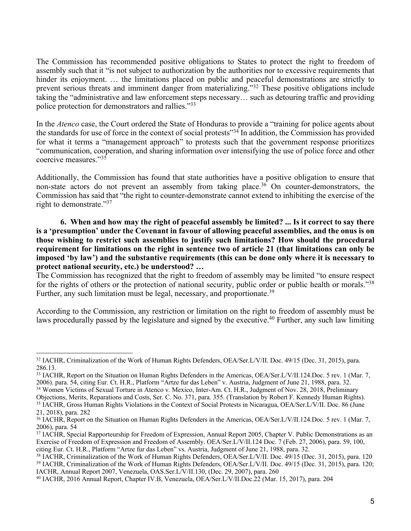The Commission has recommended positive obligations to States to protect the right to freedom of assembly such that it "is not subject to authorization by the authorities nor to excessive requirements that hinder its enjoyment. ... the limitations placed on public and peaceful demonstrations are strictly to prevent serious threats and imminent danger from materializing."32 These positive obligations include taking the "administrative and law enforcement steps necessary… such as detouring traffic and providing police protection for demonstrators and rallies."33

In the *Atenco* case, the Court ordered the State of Honduras to provide a "training for police agents about the standards for use of force in the context of social protests"34 In addition, the Commission has provided for what it terms a "management approach" to protests such that the government response prioritizes "communication, cooperation, and sharing information over intensifying the use of police force and other coercive measures."35

Additionally, the Commission has found that state authorities have a positive obligation to ensure that non-state actors do not prevent an assembly from taking place.<sup>36</sup> On counter-demonstrators, the Commission has said that "the right to counter-demonstrate cannot extend to inhibiting the exercise of the right to demonstrate."<sup>37</sup>

**6. When and how may the right of peaceful assembly be limited? ... Is it correct to say there is a 'presumption' under the Covenant in favour of allowing peaceful assemblies, and the onus is on those wishing to restrict such assemblies to justify such limitations? How should the procedural requirement for limitations on the right in sentence two of article 21 (that limitations can only be imposed 'by law') and the substantive requirements (this can be done only where it is necessary to protect national security, etc.) be understood? …** 

The Commission has recognized that the right to freedom of assembly may be limited "to ensure respect for the rights of others or the protection of national security, public order or public health or morals."<sup>38</sup> Further, any such limitation must be legal, necessary, and proportionate.<sup>39</sup>

According to the Commission, any restriction or limitation on the right to freedom of assembly must be laws procedurally passed by the legislature and signed by the executive.<sup>40</sup> Further, any such law limiting

<sup>32</sup> IACHR, Criminalization of the Work of Human Rights Defenders, OEA/Ser.L/V/II. Doc. 49/15 (Dec. 31, 2015), para. 286.13.

<sup>33</sup> IACHR, Report on the Situation on Human Rights Defenders in the Americas, OEA/Ser.L/V/II.124.Doc. 5 rev. 1 (Mar. 7, 2006). para. 54, citing Eur. Ct. H.R., Platform "Artze fur das Leben" v. Austria, Judgment of June 21, 1988, para. 32.

<sup>34</sup> Women Victims of Sexual Torture in Atenco v. Mexico, Inter-Am. Ct. H.R., Judgment of Nov. 28, 2018, Preliminary

Objections, Merits, Reparations and Costs, Ser. C. No. 371, para. 355. (Translation by Robert F. Kennedy Human Rights). <sup>35</sup> IACHR, Gross Human Rights Violations in the Context of Social Protests in Nicaragua, OEA/Ser.L/V/II. Doc. 86 (June 21, 2018), para. 282

<sup>36</sup> IACHR, Report on the Situation on Human Rights Defenders in the Americas, OEA/Ser.L/V/II.124.Doc. 5 rev. 1 (Mar. 7, 2006), para. 54

<sup>&</sup>lt;sup>37</sup> IACHR, Special Rapporteurship for Freedom of Expression, Annual Report 2005, Chapter V. Public Demonstrations as an Exercise of Freedom of Expression and Freedom of Assembly. OEA/Ser.L/V/II.124 Doc. 7 (Feb. 27, 2006), para. 59, 100,

citing Eur. Ct. H.R., Platform "Artze fur das Leben" vs. Austria, Judgment of June 21, 1988, para. 32.<br><sup>38</sup> IACHR, Criminalization of the Work of Human Rights Defenders, OEA/Ser.L/V/II. Doc. 49/15 (Dec. 31, 2015), para. 12 <sup>39</sup> IACHR, Criminalization of the Work of Human Rights Defenders, OEA/Ser.L/V/II. Doc. 49/15 (Dec. 31, 2015), para. 120; IACHR, Annual Report 2007, Venezuela, OAS.Ser.L/V/II.130, (Dec. 29, 2007), para. 260

<sup>40</sup> IACHR, 2016 Annual Report, Chapter IV.B, Venezuela, OEA/Ser.L/V/II.Doc.22 (Mar. 15, 2017), para. 204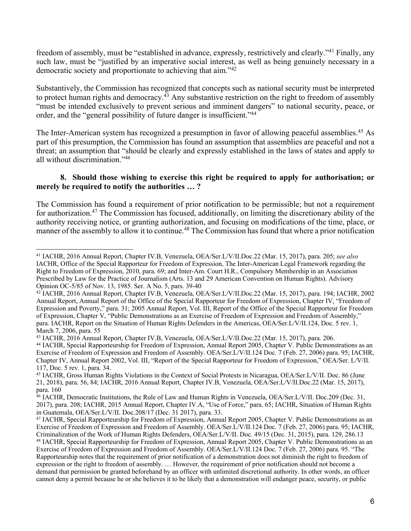freedom of assembly, must be "established in advance, expressly, restrictively and clearly."41 Finally, any such law, must be "justified by an imperative social interest, as well as being genuinely necessary in a democratic society and proportionate to achieving that aim."42

Substantively, the Commission has recognized that concepts such as national security must be interpreted to protect human rights and democracy.<sup>43</sup> Any substantive restriction on the right to freedom of assembly "must be intended exclusively to prevent serious and imminent dangers" to national security, peace, or order, and the "general possibility of future danger is insufficient."44

The Inter-American system has recognized a presumption in favor of allowing peaceful assemblies.<sup>45</sup> As part of this presumption, the Commission has found an assumption that assemblies are peaceful and not a threat; an assumption that "should be clearly and expressly established in the laws of states and apply to all without discrimination."46

## **8. Should those wishing to exercise this right be required to apply for authorisation; or merely be required to notify the authorities … ?**

The Commission has found a requirement of prior notification to be permissible; but not a requirement for authorization.47 The Commission has focused, additionally, on limiting the discretionary ability of the authority receiving notice, or granting authorization, and focusing on modifications of the time, place, or manner of the assembly to allow it to continue.<sup>48</sup> The Commission has found that where a prior notification

 $\overline{a}$ <sup>41</sup> IACHR, 2016 Annual Report, Chapter IV.B, Venezuela, OEA/Ser.L/V/II.Doc.22 (Mar. 15, 2017), para. 205; *see also*  IACHR, Office of the Special Rapporteur for Freedom of Expression, The Inter-American Legal Framework regarding the Right to Freedom of Expression, 2010, para. 69; and Inter-Am. Court H.R., Compulsory Membership in an Association Prescribed by Law for the Practice of Journalism (Arts. 13 and 29 American Convention on Human Rights). Advisory Opinion OC-5/85 of Nov. 13, 1985. Ser. A No. 5, pars. 39-40

<sup>42</sup> IACHR, 2016 Annual Report, Chapter IV.B, Venezuela, OEA/Ser.L/V/II.Doc.22 (Mar. 15, 2017), para. 194; IACHR, 2002 Annual Report, Annual Report of the Office of the Special Rapporteur for Freedom of Expression, Chapter IV, "Freedom of Expression and Poverty," para. 31; 2005 Annual Report, Vol. III, Report of the Office of the Special Rapporteur for Freedom of Expression, Chapter V, "Public Demonstrations as an Exercise of Freedom of Expression and Freedom of Assembly," para. IACHR, Report on the Situation of Human Rights Defenders in the Americas, OEA/Ser.L/V/II.124, Doc. 5 rev. 1, March 7, 2006, para. 55

<sup>43</sup> IACHR, 2016 Annual Report, Chapter IV.B, Venezuela, OEA/Ser.L/V/II.Doc.22 (Mar. 15, 2017), para. 206.

<sup>44</sup> IACHR, Special Rapporteurship for Freedom of Expression, Annual Report 2005, Chapter V. Public Demonstrations as an Exercise of Freedom of Expression and Freedom of Assembly. OEA/Ser.L/V/II.124 Doc. 7 (Feb. 27, 2006) para. 95; IACHR, Chapter IV, Annual Report 2002, Vol. III, "Report of the Special Rapporteur for Freedom of Expression," OEA/Ser. L/V/II. 117, Doc. 5 rev. 1, para. 34.

<sup>45</sup> IACHR, Gross Human Rights Violations in the Context of Social Protests in Nicaragua, OEA/Ser.L/V/II. Doc. 86 (June 21, 2018), para. 56, 84; IACHR, 2016 Annual Report, Chapter IV.B, Venezuela, OEA/Ser.L/V/II.Doc.22 (Mar. 15, 2017), para. 160

<sup>46</sup> IACHR, Democratic Institutions, the Rule of Law and Human Rights in Venezuela, OEA/Ser.L/V/II. Doc.209 (Dec. 31, 2017), para. 208; IACHR, 2015 Annual Report, Chapter IV.A, "Use of Force," para. 65; IACHR, Situation of Human Rights in Guatemala, OEA/Ser.L/V/II. Doc.208/17 (Dec. 31 2017), para. 33.

<sup>47</sup> IACHR, Special Rapporteurship for Freedom of Expression, Annual Report 2005, Chapter V. Public Demonstrations as an Exercise of Freedom of Expression and Freedom of Assembly. OEA/Ser.L/V/II.124 Doc. 7 (Feb. 27, 2006) para. 95; IACHR, Criminalization of the Work of Human Rights Defenders, OEA/Ser.L/V/II. Doc. 49/15 (Dec. 31, 2015), para. 129, 286.13 <sup>48</sup> IACHR, Special Rapporteurship for Freedom of Expression, Annual Report 2005, Chapter V. Public Demonstrations as an Exercise of Freedom of Expression and Freedom of Assembly. OEA/Ser.L/V/II.124 Doc. 7 (Feb. 27, 2006) para. 95. "The Rapporteurship notes that the requirement of prior notification of a demonstration does not diminish the right to freedom of expression or the right to freedom of assembly. … However, the requirement of prior notification should not become a demand that permission be granted beforehand by an officer with unlimited discretional authority. In other words, an officer cannot deny a permit because he or she believes it to be likely that a demonstration will endanger peace, security, or public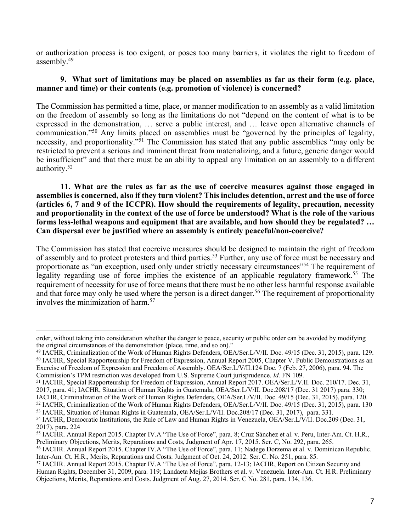or authorization process is too exigent, or poses too many barriers, it violates the right to freedom of assembly.49

## **9. What sort of limitations may be placed on assemblies as far as their form (e.g. place, manner and time) or their contents (e.g. promotion of violence) is concerned?**

The Commission has permitted a time, place, or manner modification to an assembly as a valid limitation on the freedom of assembly so long as the limitations do not "depend on the content of what is to be expressed in the demonstration, … serve a public interest, and … leave open alternative channels of communication."50 Any limits placed on assemblies must be "governed by the principles of legality, necessity, and proportionality."<sup>51</sup> The Commission has stated that any public assemblies "may only be restricted to prevent a serious and imminent threat from materializing, and a future, generic danger would be insufficient" and that there must be an ability to appeal any limitation on an assembly to a different authority.52

**11. What are the rules as far as the use of coercive measures against those engaged in assemblies is concerned, also if they turn violent? This includes detention, arrest and the use of force (articles 6, 7 and 9 of the ICCPR). How should the requirements of legality, precaution, necessity and proportionality in the context of the use of force be understood? What is the role of the various forms less-lethal weapons and equipment that are available, and how should they be regulated? … Can dispersal ever be justified where an assembly is entirely peaceful/non-coercive?** 

The Commission has stated that coercive measures should be designed to maintain the right of freedom of assembly and to protect protesters and third parties.<sup>53</sup> Further, any use of force must be necessary and proportionate as "an exception, used only under strictly necessary circumstances"54 The requirement of legality regarding use of force implies the existence of an applicable regulatory framework.<sup>55</sup> The requirement of necessity for use of force means that there must be no other less harmful response available and that force may only be used where the person is a direct danger.<sup>56</sup> The requirement of proportionality involves the minimization of harm.57

order, without taking into consideration whether the danger to peace, security or public order can be avoided by modifying the original circumstances of the demonstration (place, time, and so on)."

<sup>&</sup>lt;sup>49</sup> IACHR, Criminalization of the Work of Human Rights Defenders, OEA/Ser.L/V/II. Doc. 49/15 (Dec. 31, 2015), para. 129.<br><sup>50</sup> IACHR, Special Rapporteurship for Freedom of Expression, Annual Report 2005, Chapter V. Public

Exercise of Freedom of Expression and Freedom of Assembly. OEA/Ser.L/V/II.124 Doc. 7 (Feb. 27, 2006), para. 94. The Commission's TPM restriction was developed from U.S. Supreme Court jurisprudence. *Id.* FN 109.

<sup>51</sup> IACHR, Special Rapporteurship for Freedom of Expression, Annual Report 2017. OEA/Ser.L/V.II. Doc. 210/17. Dec. 31,

<sup>2017,</sup> para. 41; IACHR, Situation of Human Rights in Guatemala, OEA/Ser.L/V/II. Doc.208/17 (Dec. 31 2017) para. 330;

IACHR, Criminalization of the Work of Human Rights Defenders, OEA/Ser.L/V/II. Doc. 49/15 (Dec. 31, 2015), para. 120.

<sup>52</sup> IACHR, Criminalization of the Work of Human Rights Defenders, OEA/Ser.L/V/II. Doc. 49/15 (Dec. 31, 2015), para. 130

<sup>53</sup> IACHR, Situation of Human Rights in Guatemala, OEA/Ser.L/V/II. Doc.208/17 (Dec. 31, 2017), para. 331. <sup>54</sup> IACHR, Democratic Institutions, the Rule of Law and Human Rights in Venezuela, OEA/Ser.L/V/II. Doc.209 (Dec. 31,

<sup>2017),</sup> para. 224

<sup>&</sup>lt;sup>55</sup> IACHR. Annual Report 2015. Chapter IV.A "The Use of Force", para. 8; Cruz Sánchez et al. v. Peru, Inter-Am. Ct. H.R., Preliminary Objections, Merits, Reparations and Costs, Judgment of Apr. 17, 2015. Ser. C, No. 292,

<sup>&</sup>lt;sup>56</sup> IACHR. Annual Report 2015. Chapter IV.A "The Use of Force", para. 11; Nadege Dorzema et al. v. Dominican Republic. Inter-Am. Ct. H.R., Merits, Reparations and Costs. Judgment of Oct. 24, 2012. Ser. C. No. 251, para. 85.

<sup>57</sup> IACHR. Annual Report 2015. Chapter IV.A "The Use of Force", para. 12-13; IACHR, Report on Citizen Security and Human Rights, December 31, 2009, para. 119; Landaeta Mejías Brothers et al. v. Venezuela. Inter-Am. Ct. H.R. Preliminary Objections, Merits, Reparations and Costs. Judgment of Aug. 27, 2014. Ser. C No. 281, para. 134, 136.